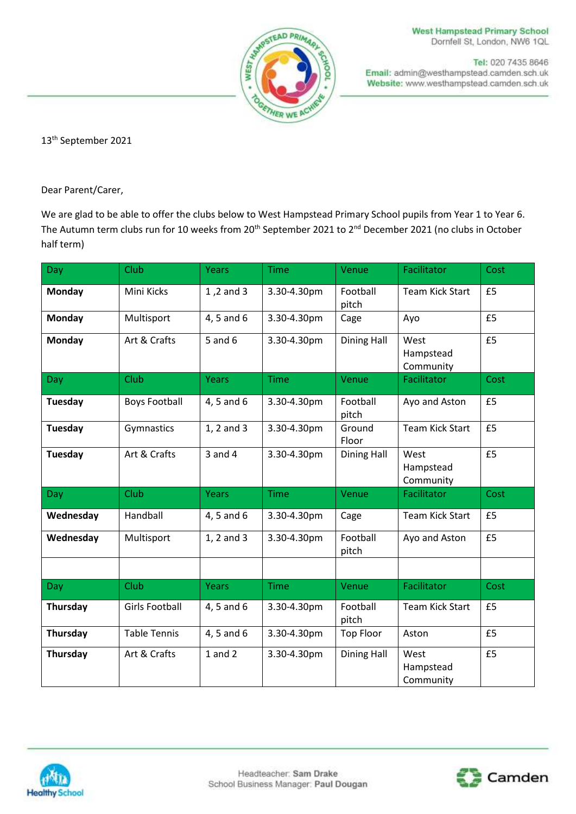

**West Hampstead Primary School** Dornfell St, London, NW6 1QL

Tel: 020 7435 8646 Email: admin@westhampstead.camden.sch.uk Website: www.westhampstead.camden.sch.uk

13th September 2021

Dear Parent/Carer,

We are glad to be able to offer the clubs below to West Hampstead Primary School pupils from Year 1 to Year 6. The Autumn term clubs run for 10 weeks from 20<sup>th</sup> September 2021 to 2<sup>nd</sup> December 2021 (no clubs in October half term)

| Day            | Club                  | Years        | <b>Time</b> | Venue              | Facilitator                    | Cost |
|----------------|-----------------------|--------------|-------------|--------------------|--------------------------------|------|
| Monday         | Mini Kicks            | 1,2 and 3    | 3.30-4.30pm | Football<br>pitch  | <b>Team Kick Start</b>         | £5   |
| <b>Monday</b>  | Multisport            | 4, 5 and 6   | 3.30-4.30pm | Cage               | Ayo                            | £5   |
| <b>Monday</b>  | Art & Crafts          | $5$ and $6$  | 3.30-4.30pm | <b>Dining Hall</b> | West<br>Hampstead<br>Community | £5   |
| Day            | Club                  | <b>Years</b> | <b>Time</b> | Venue              | Facilitator                    | Cost |
| <b>Tuesday</b> | <b>Boys Football</b>  | 4, 5 and 6   | 3.30-4.30pm | Football<br>pitch  | Ayo and Aston                  | £5   |
| Tuesday        | Gymnastics            | 1, 2 and 3   | 3.30-4.30pm | Ground<br>Floor    | <b>Team Kick Start</b>         | £5   |
| Tuesday        | Art & Crafts          | $3$ and $4$  | 3.30-4.30pm | <b>Dining Hall</b> | West<br>Hampstead<br>Community | £5   |
| Day            | Club                  | Years        | <b>Time</b> | Venue              | Facilitator                    | Cost |
| Wednesday      | Handball              | 4, 5 and 6   | 3.30-4.30pm | Cage               | <b>Team Kick Start</b>         | £5   |
| Wednesday      | Multisport            | 1, 2 and 3   | 3.30-4.30pm | Football<br>pitch  | Ayo and Aston                  | £5   |
|                |                       |              |             |                    |                                |      |
| Day            | Club                  | <b>Years</b> | <b>Time</b> | Venue              | Facilitator                    | Cost |
| Thursday       | <b>Girls Football</b> | 4, 5 and 6   | 3.30-4.30pm | Football<br>pitch  | <b>Team Kick Start</b>         | £5   |
| Thursday       | <b>Table Tennis</b>   | 4, 5 and 6   | 3.30-4.30pm | <b>Top Floor</b>   | Aston                          | £5   |
| Thursday       | Art & Crafts          | $1$ and $2$  | 3.30-4.30pm | <b>Dining Hall</b> | West<br>Hampstead<br>Community | £5   |